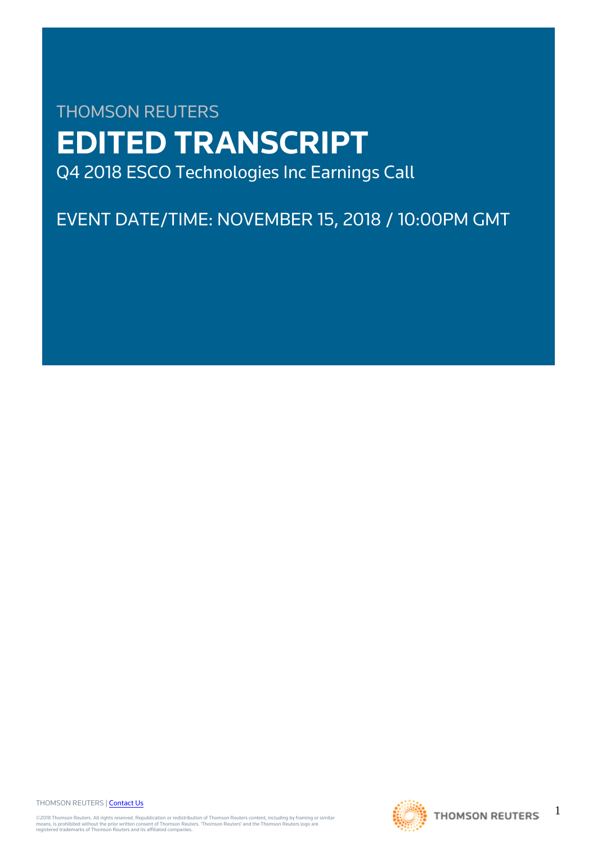# THOMSON REUTERS **EDITED TRANSCRIPT** Q4 2018 ESCO Technologies Inc Earnings Call

EVENT DATE/TIME: NOVEMBER 15, 2018 / 10:00PM GMT

THOMSON REUTERS | [Contact Us](https://my.thomsonreuters.com/ContactUsNew)

©2018 Thomson Reuters. All rights reserved. Republication or redistribution of Thomson Reuters content, including by framing or similar<br>means, is prohibited without the prior written consent of Thomson Reuters. "Thomson Re



1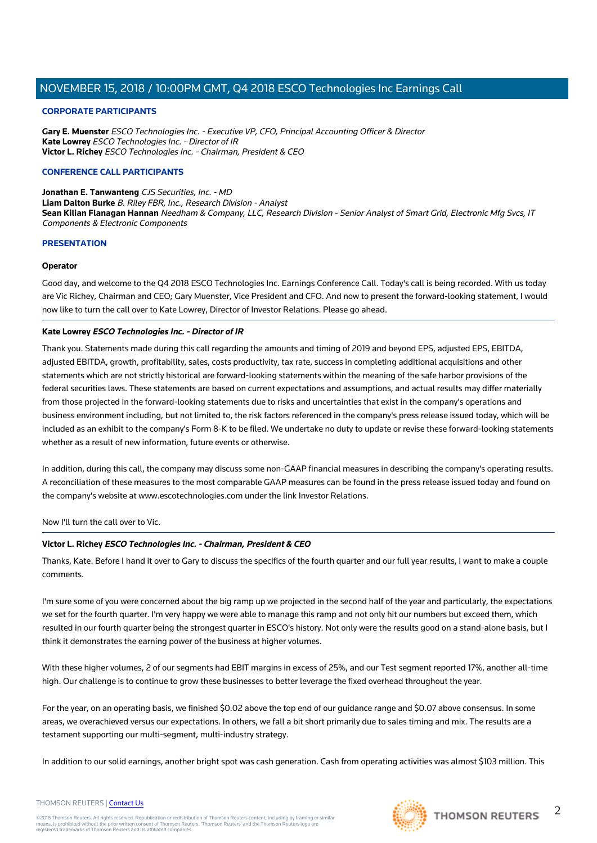## **CORPORATE PARTICIPANTS**

**Gary E. Muenster** ESCO Technologies Inc. - Executive VP, CFO, Principal Accounting Officer & Director **Kate Lowrey** ESCO Technologies Inc. - Director of IR **Victor L. Richey** ESCO Technologies Inc. - Chairman, President & CEO

## **CONFERENCE CALL PARTICIPANTS**

**Jonathan E. Tanwanteng** CJS Securities, Inc. - MD **Liam Dalton Burke** B. Riley FBR, Inc., Research Division - Analyst **Sean Kilian Flanagan Hannan** Needham & Company, LLC, Research Division - Senior Analyst of Smart Grid, Electronic Mfg Svcs, IT Components & Electronic Components

#### **PRESENTATION**

#### **Operator**

Good day, and welcome to the Q4 2018 ESCO Technologies Inc. Earnings Conference Call. Today's call is being recorded. With us today are Vic Richey, Chairman and CEO; Gary Muenster, Vice President and CFO. And now to present the forward-looking statement, I would now like to turn the call over to Kate Lowrey, Director of Investor Relations. Please go ahead.

#### **Kate Lowrey ESCO Technologies Inc. - Director of IR**

Thank you. Statements made during this call regarding the amounts and timing of 2019 and beyond EPS, adjusted EPS, EBITDA, adjusted EBITDA, growth, profitability, sales, costs productivity, tax rate, success in completing additional acquisitions and other statements which are not strictly historical are forward-looking statements within the meaning of the safe harbor provisions of the federal securities laws. These statements are based on current expectations and assumptions, and actual results may differ materially from those projected in the forward-looking statements due to risks and uncertainties that exist in the company's operations and business environment including, but not limited to, the risk factors referenced in the company's press release issued today, which will be included as an exhibit to the company's Form 8-K to be filed. We undertake no duty to update or revise these forward-looking statements whether as a result of new information, future events or otherwise.

In addition, during this call, the company may discuss some non-GAAP financial measures in describing the company's operating results. A reconciliation of these measures to the most comparable GAAP measures can be found in the press release issued today and found on the company's website at www.escotechnologies.com under the link Investor Relations.

Now I'll turn the call over to Vic.

# **Victor L. Richey ESCO Technologies Inc. - Chairman, President & CEO**

Thanks, Kate. Before I hand it over to Gary to discuss the specifics of the fourth quarter and our full year results, I want to make a couple comments.

I'm sure some of you were concerned about the big ramp up we projected in the second half of the year and particularly, the expectations we set for the fourth quarter. I'm very happy we were able to manage this ramp and not only hit our numbers but exceed them, which resulted in our fourth quarter being the strongest quarter in ESCO's history. Not only were the results good on a stand-alone basis, but I think it demonstrates the earning power of the business at higher volumes.

With these higher volumes, 2 of our segments had EBIT margins in excess of 25%, and our Test segment reported 17%, another all-time high. Our challenge is to continue to grow these businesses to better leverage the fixed overhead throughout the year.

For the year, on an operating basis, we finished \$0.02 above the top end of our guidance range and \$0.07 above consensus. In some areas, we overachieved versus our expectations. In others, we fall a bit short primarily due to sales timing and mix. The results are a testament supporting our multi-segment, multi-industry strategy.

In addition to our solid earnings, another bright spot was cash generation. Cash from operating activities was almost \$103 million. This



 $\mathfrak{D}$ 

THOMSON REUTERS | [Contact Us](https://my.thomsonreuters.com/ContactUsNew)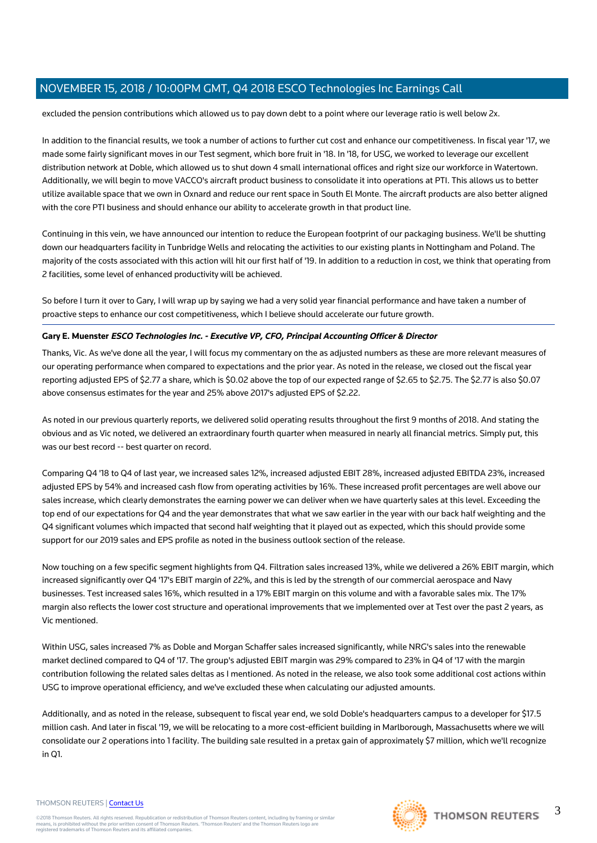excluded the pension contributions which allowed us to pay down debt to a point where our leverage ratio is well below 2x.

In addition to the financial results, we took a number of actions to further cut cost and enhance our competitiveness. In fiscal year '17, we made some fairly significant moves in our Test segment, which bore fruit in '18. In '18, for USG, we worked to leverage our excellent distribution network at Doble, which allowed us to shut down 4 small international offices and right size our workforce in Watertown. Additionally, we will begin to move VACCO's aircraft product business to consolidate it into operations at PTI. This allows us to better utilize available space that we own in Oxnard and reduce our rent space in South El Monte. The aircraft products are also better aligned with the core PTI business and should enhance our ability to accelerate growth in that product line.

Continuing in this vein, we have announced our intention to reduce the European footprint of our packaging business. We'll be shutting down our headquarters facility in Tunbridge Wells and relocating the activities to our existing plants in Nottingham and Poland. The majority of the costs associated with this action will hit our first half of '19. In addition to a reduction in cost, we think that operating from 2 facilities, some level of enhanced productivity will be achieved.

So before I turn it over to Gary, I will wrap up by saying we had a very solid year financial performance and have taken a number of proactive steps to enhance our cost competitiveness, which I believe should accelerate our future growth.

# **Gary E. Muenster ESCO Technologies Inc. - Executive VP, CFO, Principal Accounting Officer & Director**

Thanks, Vic. As we've done all the year, I will focus my commentary on the as adjusted numbers as these are more relevant measures of our operating performance when compared to expectations and the prior year. As noted in the release, we closed out the fiscal year reporting adjusted EPS of \$2.77 a share, which is \$0.02 above the top of our expected range of \$2.65 to \$2.75. The \$2.77 is also \$0.07 above consensus estimates for the year and 25% above 2017's adjusted EPS of \$2.22.

As noted in our previous quarterly reports, we delivered solid operating results throughout the first 9 months of 2018. And stating the obvious and as Vic noted, we delivered an extraordinary fourth quarter when measured in nearly all financial metrics. Simply put, this was our best record -- best quarter on record.

Comparing Q4 '18 to Q4 of last year, we increased sales 12%, increased adjusted EBIT 28%, increased adjusted EBITDA 23%, increased adjusted EPS by 54% and increased cash flow from operating activities by 16%. These increased profit percentages are well above our sales increase, which clearly demonstrates the earning power we can deliver when we have quarterly sales at this level. Exceeding the top end of our expectations for Q4 and the year demonstrates that what we saw earlier in the year with our back half weighting and the Q4 significant volumes which impacted that second half weighting that it played out as expected, which this should provide some support for our 2019 sales and EPS profile as noted in the business outlook section of the release.

Now touching on a few specific segment highlights from Q4. Filtration sales increased 13%, while we delivered a 26% EBIT margin, which increased significantly over Q4 '17's EBIT margin of 22%, and this is led by the strength of our commercial aerospace and Navy businesses. Test increased sales 16%, which resulted in a 17% EBIT margin on this volume and with a favorable sales mix. The 17% margin also reflects the lower cost structure and operational improvements that we implemented over at Test over the past 2 years, as Vic mentioned.

Within USG, sales increased 7% as Doble and Morgan Schaffer sales increased significantly, while NRG's sales into the renewable market declined compared to Q4 of '17. The group's adjusted EBIT margin was 29% compared to 23% in Q4 of '17 with the margin contribution following the related sales deltas as I mentioned. As noted in the release, we also took some additional cost actions within USG to improve operational efficiency, and we've excluded these when calculating our adjusted amounts.

Additionally, and as noted in the release, subsequent to fiscal year end, we sold Doble's headquarters campus to a developer for \$17.5 million cash. And later in fiscal '19, we will be relocating to a more cost-efficient building in Marlborough, Massachusetts where we will consolidate our 2 operations into 1 facility. The building sale resulted in a pretax gain of approximately \$7 million, which we'll recognize in Q1.

#### THOMSON REUTERS | [Contact Us](https://my.thomsonreuters.com/ContactUsNew)

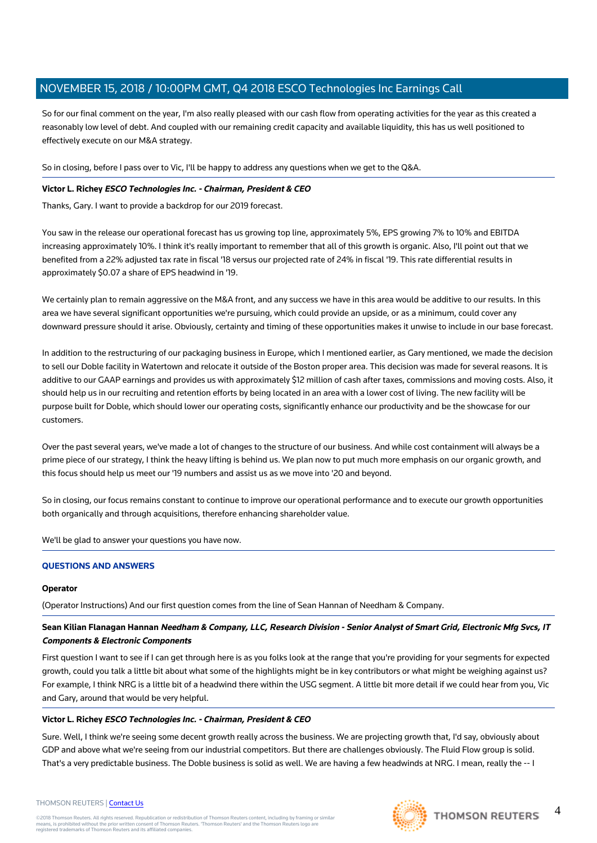So for our final comment on the year, I'm also really pleased with our cash flow from operating activities for the year as this created a reasonably low level of debt. And coupled with our remaining credit capacity and available liquidity, this has us well positioned to effectively execute on our M&A strategy.

So in closing, before I pass over to Vic, I'll be happy to address any questions when we get to the Q&A.

# **Victor L. Richey ESCO Technologies Inc. - Chairman, President & CEO**

Thanks, Gary. I want to provide a backdrop for our 2019 forecast.

You saw in the release our operational forecast has us growing top line, approximately 5%, EPS growing 7% to 10% and EBITDA increasing approximately 10%. I think it's really important to remember that all of this growth is organic. Also, I'll point out that we benefited from a 22% adjusted tax rate in fiscal '18 versus our projected rate of 24% in fiscal '19. This rate differential results in approximately \$0.07 a share of EPS headwind in '19.

We certainly plan to remain aggressive on the M&A front, and any success we have in this area would be additive to our results. In this area we have several significant opportunities we're pursuing, which could provide an upside, or as a minimum, could cover any downward pressure should it arise. Obviously, certainty and timing of these opportunities makes it unwise to include in our base forecast.

In addition to the restructuring of our packaging business in Europe, which I mentioned earlier, as Gary mentioned, we made the decision to sell our Doble facility in Watertown and relocate it outside of the Boston proper area. This decision was made for several reasons. It is additive to our GAAP earnings and provides us with approximately \$12 million of cash after taxes, commissions and moving costs. Also, it should help us in our recruiting and retention efforts by being located in an area with a lower cost of living. The new facility will be purpose built for Doble, which should lower our operating costs, significantly enhance our productivity and be the showcase for our customers.

Over the past several years, we've made a lot of changes to the structure of our business. And while cost containment will always be a prime piece of our strategy, I think the heavy lifting is behind us. We plan now to put much more emphasis on our organic growth, and this focus should help us meet our '19 numbers and assist us as we move into '20 and beyond.

So in closing, our focus remains constant to continue to improve our operational performance and to execute our growth opportunities both organically and through acquisitions, therefore enhancing shareholder value.

We'll be glad to answer your questions you have now.

# **QUESTIONS AND ANSWERS**

# **Operator**

(Operator Instructions) And our first question comes from the line of Sean Hannan of Needham & Company.

# **Sean Kilian Flanagan Hannan Needham & Company, LLC, Research Division - Senior Analyst of Smart Grid, Electronic Mfg Svcs, IT Components & Electronic Components**

First question I want to see if I can get through here is as you folks look at the range that you're providing for your segments for expected growth, could you talk a little bit about what some of the highlights might be in key contributors or what might be weighing against us? For example, I think NRG is a little bit of a headwind there within the USG segment. A little bit more detail if we could hear from you, Vic and Gary, around that would be very helpful.

# **Victor L. Richey ESCO Technologies Inc. - Chairman, President & CEO**

Sure. Well, I think we're seeing some decent growth really across the business. We are projecting growth that, I'd say, obviously about GDP and above what we're seeing from our industrial competitors. But there are challenges obviously. The Fluid Flow group is solid. That's a very predictable business. The Doble business is solid as well. We are having a few headwinds at NRG. I mean, really the -- I

#### THOMSON REUTERS | [Contact Us](https://my.thomsonreuters.com/ContactUsNew)

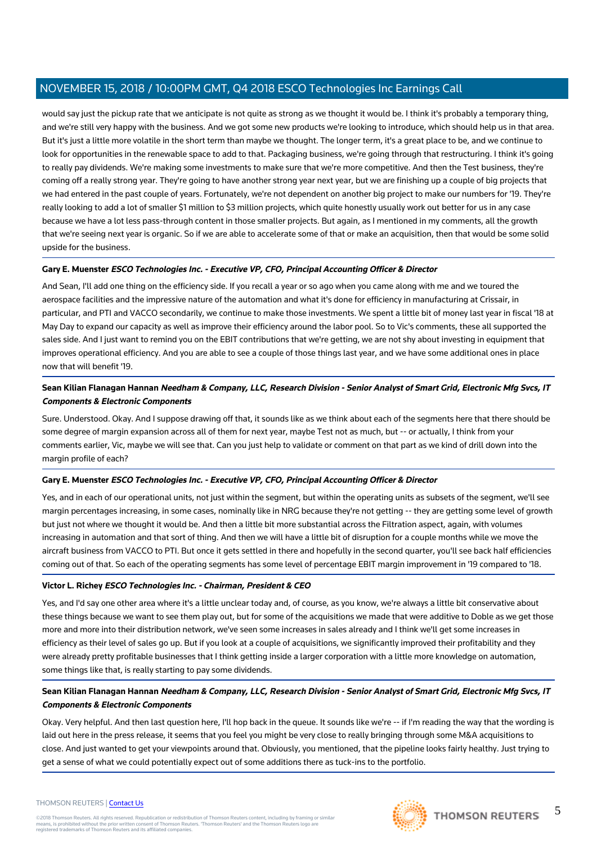would say just the pickup rate that we anticipate is not quite as strong as we thought it would be. I think it's probably a temporary thing, and we're still very happy with the business. And we got some new products we're looking to introduce, which should help us in that area. But it's just a little more volatile in the short term than maybe we thought. The longer term, it's a great place to be, and we continue to look for opportunities in the renewable space to add to that. Packaging business, we're going through that restructuring. I think it's going to really pay dividends. We're making some investments to make sure that we're more competitive. And then the Test business, they're coming off a really strong year. They're going to have another strong year next year, but we are finishing up a couple of big projects that we had entered in the past couple of years. Fortunately, we're not dependent on another big project to make our numbers for '19. They're really looking to add a lot of smaller \$1 million to \$3 million projects, which quite honestly usually work out better for us in any case because we have a lot less pass-through content in those smaller projects. But again, as I mentioned in my comments, all the growth that we're seeing next year is organic. So if we are able to accelerate some of that or make an acquisition, then that would be some solid upside for the business.

# **Gary E. Muenster ESCO Technologies Inc. - Executive VP, CFO, Principal Accounting Officer & Director**

And Sean, I'll add one thing on the efficiency side. If you recall a year or so ago when you came along with me and we toured the aerospace facilities and the impressive nature of the automation and what it's done for efficiency in manufacturing at Crissair, in particular, and PTI and VACCO secondarily, we continue to make those investments. We spent a little bit of money last year in fiscal '18 at May Day to expand our capacity as well as improve their efficiency around the labor pool. So to Vic's comments, these all supported the sales side. And I just want to remind you on the EBIT contributions that we're getting, we are not shy about investing in equipment that improves operational efficiency. And you are able to see a couple of those things last year, and we have some additional ones in place now that will benefit '19.

# **Sean Kilian Flanagan Hannan Needham & Company, LLC, Research Division - Senior Analyst of Smart Grid, Electronic Mfg Svcs, IT Components & Electronic Components**

Sure. Understood. Okay. And I suppose drawing off that, it sounds like as we think about each of the segments here that there should be some degree of margin expansion across all of them for next year, maybe Test not as much, but -- or actually, I think from your comments earlier, Vic, maybe we will see that. Can you just help to validate or comment on that part as we kind of drill down into the margin profile of each?

# **Gary E. Muenster ESCO Technologies Inc. - Executive VP, CFO, Principal Accounting Officer & Director**

Yes, and in each of our operational units, not just within the segment, but within the operating units as subsets of the segment, we'll see margin percentages increasing, in some cases, nominally like in NRG because they're not getting -- they are getting some level of growth but just not where we thought it would be. And then a little bit more substantial across the Filtration aspect, again, with volumes increasing in automation and that sort of thing. And then we will have a little bit of disruption for a couple months while we move the aircraft business from VACCO to PTI. But once it gets settled in there and hopefully in the second quarter, you'll see back half efficiencies coming out of that. So each of the operating segments has some level of percentage EBIT margin improvement in '19 compared to '18.

# **Victor L. Richey ESCO Technologies Inc. - Chairman, President & CEO**

Yes, and I'd say one other area where it's a little unclear today and, of course, as you know, we're always a little bit conservative about these things because we want to see them play out, but for some of the acquisitions we made that were additive to Doble as we get those more and more into their distribution network, we've seen some increases in sales already and I think we'll get some increases in efficiency as their level of sales go up. But if you look at a couple of acquisitions, we significantly improved their profitability and they were already pretty profitable businesses that I think getting inside a larger corporation with a little more knowledge on automation, some things like that, is really starting to pay some dividends.

# **Sean Kilian Flanagan Hannan Needham & Company, LLC, Research Division - Senior Analyst of Smart Grid, Electronic Mfg Svcs, IT Components & Electronic Components**

Okay. Very helpful. And then last question here, I'll hop back in the queue. It sounds like we're -- if I'm reading the way that the wording is laid out here in the press release, it seems that you feel you might be very close to really bringing through some M&A acquisitions to close. And just wanted to get your viewpoints around that. Obviously, you mentioned, that the pipeline looks fairly healthy. Just trying to get a sense of what we could potentially expect out of some additions there as tuck-ins to the portfolio.



5

# THOMSON REUTERS | [Contact Us](https://my.thomsonreuters.com/ContactUsNew)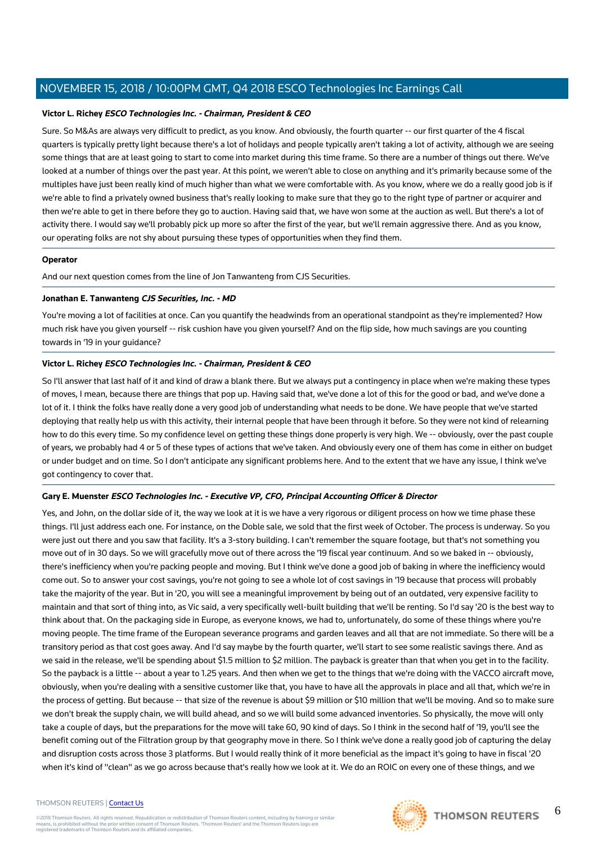## **Victor L. Richey ESCO Technologies Inc. - Chairman, President & CEO**

Sure. So M&As are always very difficult to predict, as you know. And obviously, the fourth quarter -- our first quarter of the 4 fiscal quarters is typically pretty light because there's a lot of holidays and people typically aren't taking a lot of activity, although we are seeing some things that are at least going to start to come into market during this time frame. So there are a number of things out there. We've looked at a number of things over the past year. At this point, we weren't able to close on anything and it's primarily because some of the multiples have just been really kind of much higher than what we were comfortable with. As you know, where we do a really good job is if we're able to find a privately owned business that's really looking to make sure that they go to the right type of partner or acquirer and then we're able to get in there before they go to auction. Having said that, we have won some at the auction as well. But there's a lot of activity there. I would say we'll probably pick up more so after the first of the year, but we'll remain aggressive there. And as you know, our operating folks are not shy about pursuing these types of opportunities when they find them.

#### **Operator**

And our next question comes from the line of Jon Tanwanteng from CJS Securities.

#### **Jonathan E. Tanwanteng CJS Securities, Inc. - MD**

You're moving a lot of facilities at once. Can you quantify the headwinds from an operational standpoint as they're implemented? How much risk have you given yourself -- risk cushion have you given yourself? And on the flip side, how much savings are you counting towards in '19 in your guidance?

# **Victor L. Richey ESCO Technologies Inc. - Chairman, President & CEO**

So I'll answer that last half of it and kind of draw a blank there. But we always put a contingency in place when we're making these types of moves, I mean, because there are things that pop up. Having said that, we've done a lot of this for the good or bad, and we've done a lot of it. I think the folks have really done a very good job of understanding what needs to be done. We have people that we've started deploying that really help us with this activity, their internal people that have been through it before. So they were not kind of relearning how to do this every time. So my confidence level on getting these things done properly is very high. We -- obviously, over the past couple of years, we probably had 4 or 5 of these types of actions that we've taken. And obviously every one of them has come in either on budget or under budget and on time. So I don't anticipate any significant problems here. And to the extent that we have any issue, I think we've got contingency to cover that.

# **Gary E. Muenster ESCO Technologies Inc. - Executive VP, CFO, Principal Accounting Officer & Director**

Yes, and John, on the dollar side of it, the way we look at it is we have a very rigorous or diligent process on how we time phase these things. I'll just address each one. For instance, on the Doble sale, we sold that the first week of October. The process is underway. So you were just out there and you saw that facility. It's a 3-story building. I can't remember the square footage, but that's not something you move out of in 30 days. So we will gracefully move out of there across the '19 fiscal year continuum. And so we baked in -- obviously, there's inefficiency when you're packing people and moving. But I think we've done a good job of baking in where the inefficiency would come out. So to answer your cost savings, you're not going to see a whole lot of cost savings in '19 because that process will probably take the majority of the year. But in '20, you will see a meaningful improvement by being out of an outdated, very expensive facility to maintain and that sort of thing into, as Vic said, a very specifically well-built building that we'll be renting. So I'd say '20 is the best way to think about that. On the packaging side in Europe, as everyone knows, we had to, unfortunately, do some of these things where you're moving people. The time frame of the European severance programs and garden leaves and all that are not immediate. So there will be a transitory period as that cost goes away. And I'd say maybe by the fourth quarter, we'll start to see some realistic savings there. And as we said in the release, we'll be spending about \$1.5 million to \$2 million. The payback is greater than that when you get in to the facility. So the payback is a little -- about a year to 1.25 years. And then when we get to the things that we're doing with the VACCO aircraft move, obviously, when you're dealing with a sensitive customer like that, you have to have all the approvals in place and all that, which we're in the process of getting. But because -- that size of the revenue is about \$9 million or \$10 million that we'll be moving. And so to make sure we don't break the supply chain, we will build ahead, and so we will build some advanced inventories. So physically, the move will only take a couple of days, but the preparations for the move will take 60, 90 kind of days. So I think in the second half of '19, you'll see the benefit coming out of the Filtration group by that geography move in there. So I think we've done a really good job of capturing the delay and disruption costs across those 3 platforms. But I would really think of it more beneficial as the impact it's going to have in fiscal '20 when it's kind of "clean" as we go across because that's really how we look at it. We do an ROIC on every one of these things, and we

#### THOMSON REUTERS | [Contact Us](https://my.thomsonreuters.com/ContactUsNew)

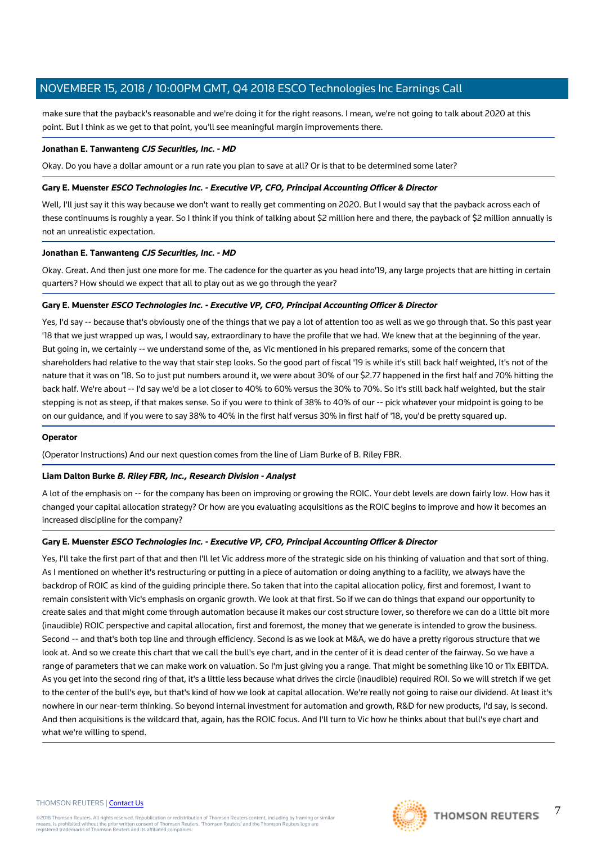make sure that the payback's reasonable and we're doing it for the right reasons. I mean, we're not going to talk about 2020 at this point. But I think as we get to that point, you'll see meaningful margin improvements there.

#### **Jonathan E. Tanwanteng CJS Securities, Inc. - MD**

Okay. Do you have a dollar amount or a run rate you plan to save at all? Or is that to be determined some later?

## **Gary E. Muenster ESCO Technologies Inc. - Executive VP, CFO, Principal Accounting Officer & Director**

Well, I'll just say it this way because we don't want to really get commenting on 2020. But I would say that the payback across each of these continuums is roughly a year. So I think if you think of talking about \$2 million here and there, the payback of \$2 million annually is not an unrealistic expectation.

#### **Jonathan E. Tanwanteng CJS Securities, Inc. - MD**

Okay. Great. And then just one more for me. The cadence for the quarter as you head into'19, any large projects that are hitting in certain quarters? How should we expect that all to play out as we go through the year?

#### **Gary E. Muenster ESCO Technologies Inc. - Executive VP, CFO, Principal Accounting Officer & Director**

Yes, I'd say -- because that's obviously one of the things that we pay a lot of attention too as well as we go through that. So this past year '18 that we just wrapped up was, I would say, extraordinary to have the profile that we had. We knew that at the beginning of the year. But going in, we certainly -- we understand some of the, as Vic mentioned in his prepared remarks, some of the concern that shareholders had relative to the way that stair step looks. So the good part of fiscal '19 is while it's still back half weighted, It's not of the nature that it was on '18. So to just put numbers around it, we were about 30% of our \$2.77 happened in the first half and 70% hitting the back half. We're about -- I'd say we'd be a lot closer to 40% to 60% versus the 30% to 70%. So it's still back half weighted, but the stair stepping is not as steep, if that makes sense. So if you were to think of 38% to 40% of our -- pick whatever your midpoint is going to be on our guidance, and if you were to say 38% to 40% in the first half versus 30% in first half of '18, you'd be pretty squared up.

#### **Operator**

(Operator Instructions) And our next question comes from the line of Liam Burke of B. Riley FBR.

# **Liam Dalton Burke B. Riley FBR, Inc., Research Division - Analyst**

A lot of the emphasis on -- for the company has been on improving or growing the ROIC. Your debt levels are down fairly low. How has it changed your capital allocation strategy? Or how are you evaluating acquisitions as the ROIC begins to improve and how it becomes an increased discipline for the company?

# **Gary E. Muenster ESCO Technologies Inc. - Executive VP, CFO, Principal Accounting Officer & Director**

Yes, I'll take the first part of that and then I'll let Vic address more of the strategic side on his thinking of valuation and that sort of thing. As I mentioned on whether it's restructuring or putting in a piece of automation or doing anything to a facility, we always have the backdrop of ROIC as kind of the guiding principle there. So taken that into the capital allocation policy, first and foremost, I want to remain consistent with Vic's emphasis on organic growth. We look at that first. So if we can do things that expand our opportunity to create sales and that might come through automation because it makes our cost structure lower, so therefore we can do a little bit more (inaudible) ROIC perspective and capital allocation, first and foremost, the money that we generate is intended to grow the business. Second -- and that's both top line and through efficiency. Second is as we look at M&A, we do have a pretty rigorous structure that we look at. And so we create this chart that we call the bull's eye chart, and in the center of it is dead center of the fairway. So we have a range of parameters that we can make work on valuation. So I'm just giving you a range. That might be something like 10 or 11x EBITDA. As you get into the second ring of that, it's a little less because what drives the circle (inaudible) required ROI. So we will stretch if we get to the center of the bull's eye, but that's kind of how we look at capital allocation. We're really not going to raise our dividend. At least it's nowhere in our near-term thinking. So beyond internal investment for automation and growth, R&D for new products, I'd say, is second. And then acquisitions is the wildcard that, again, has the ROIC focus. And I'll turn to Vic how he thinks about that bull's eye chart and what we're willing to spend.

#### THOMSON REUTERS | [Contact Us](https://my.thomsonreuters.com/ContactUsNew)



7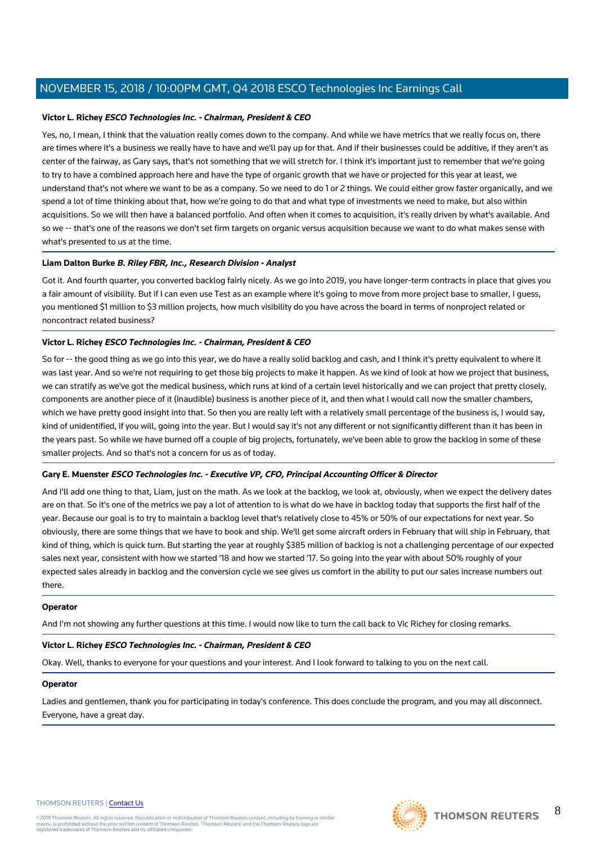# **Victor L. Richey ESCO Technologies Inc. - Chairman, President & CEO**

Yes, no, I mean, I think that the valuation really comes down to the company. And while we have metrics that we really focus on, there are times where it's a business we really have to have and we'll pay up for that. And if their businesses could be additive, if they aren't as center of the fairway, as Gary says, that's not something that we will stretch for. I think it's important just to remember that we're going to try to have a combined approach here and have the type of organic growth that we have or projected for this year at least, we understand that's not where we want to be as a company. So we need to do 1 or 2 things. We could either grow faster organically, and we spend a lot of time thinking about that, how we're going to do that and what type of investments we need to make, but also within acquisitions. So we will then have a balanced portfolio. And often when it comes to acquisition, it's really driven by what's available. And so we -- that's one of the reasons we don't set firm targets on organic versus acquisition because we want to do what makes sense with what's presented to us at the time.

# **Liam Dalton Burke B. Riley FBR, Inc., Research Division - Analyst**

Got it. And fourth quarter, you converted backlog fairly nicely. As we go into 2019, you have longer-term contracts in place that gives you a fair amount of visibility. But if I can even use Test as an example where it's going to move from more project base to smaller, I guess, you mentioned \$1 million to \$3 million projects, how much visibility do you have across the board in terms of nonproject related or noncontract related business?

# **Victor L. Richey ESCO Technologies Inc. - Chairman, President & CEO**

So for -- the good thing as we go into this year, we do have a really solid backlog and cash, and I think it's pretty equivalent to where it was last year. And so we're not requiring to get those big projects to make it happen. As we kind of look at how we project that business, we can stratify as we've got the medical business, which runs at kind of a certain level historically and we can project that pretty closely, components are another piece of it (inaudible) business is another piece of it, and then what I would call now the smaller chambers, which we have pretty good insight into that. So then you are really left with a relatively small percentage of the business is, I would say, kind of unidentified, if you will, going into the year. But I would say it's not any different or not significantly different than it has been in the years past. So while we have burned off a couple of big projects, fortunately, we've been able to grow the backlog in some of these smaller projects. And so that's not a concern for us as of today.

# **Gary E. Muenster ESCO Technologies Inc. - Executive VP, CFO, Principal Accounting Officer & Director**

And I'll add one thing to that, Liam, just on the math. As we look at the backlog, we look at, obviously, when we expect the delivery dates are on that. So it's one of the metrics we pay a lot of attention to is what do we have in backlog today that supports the first half of the year. Because our goal is to try to maintain a backlog level that's relatively close to 45% or 50% of our expectations for next year. So obviously, there are some things that we have to book and ship. We'll get some aircraft orders in February that will ship in February, that kind of thing, which is quick turn. But starting the year at roughly \$385 million of backlog is not a challenging percentage of our expected sales next year, consistent with how we started '18 and how we started '17. So going into the year with about 50% roughly of your expected sales already in backlog and the conversion cycle we see gives us comfort in the ability to put our sales increase numbers out there.

# **Operator**

And I'm not showing any further questions at this time. I would now like to turn the call back to Vic Richey for closing remarks.

# **Victor L. Richey ESCO Technologies Inc. - Chairman, President & CEO**

Okay. Well, thanks to everyone for your questions and your interest. And I look forward to talking to you on the next call.

# **Operator**

Ladies and gentlemen, thank you for participating in today's conference. This does conclude the program, and you may all disconnect. Everyone, have a great day.